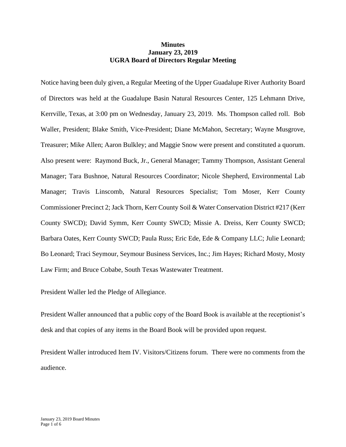## **Minutes January 23, 2019 UGRA Board of Directors Regular Meeting**

Notice having been duly given, a Regular Meeting of the Upper Guadalupe River Authority Board of Directors was held at the Guadalupe Basin Natural Resources Center, 125 Lehmann Drive, Kerrville, Texas, at 3:00 pm on Wednesday, January 23, 2019. Ms. Thompson called roll. Bob Waller, President; Blake Smith, Vice-President; Diane McMahon, Secretary; Wayne Musgrove, Treasurer; Mike Allen; Aaron Bulkley; and Maggie Snow were present and constituted a quorum. Also present were: Raymond Buck, Jr., General Manager; Tammy Thompson, Assistant General Manager; Tara Bushnoe, Natural Resources Coordinator; Nicole Shepherd, Environmental Lab Manager; Travis Linscomb, Natural Resources Specialist; Tom Moser, Kerr County Commissioner Precinct 2; Jack Thorn, Kerr County Soil & Water Conservation District #217 (Kerr County SWCD); David Symm, Kerr County SWCD; Missie A. Dreiss, Kerr County SWCD; Barbara Oates, Kerr County SWCD; Paula Russ; Eric Ede, Ede & Company LLC; Julie Leonard; Bo Leonard; Traci Seymour, Seymour Business Services, Inc.; Jim Hayes; Richard Mosty, Mosty Law Firm; and Bruce Cobabe, South Texas Wastewater Treatment.

President Waller led the Pledge of Allegiance.

President Waller announced that a public copy of the Board Book is available at the receptionist's desk and that copies of any items in the Board Book will be provided upon request.

President Waller introduced Item IV. Visitors/Citizens forum. There were no comments from the audience.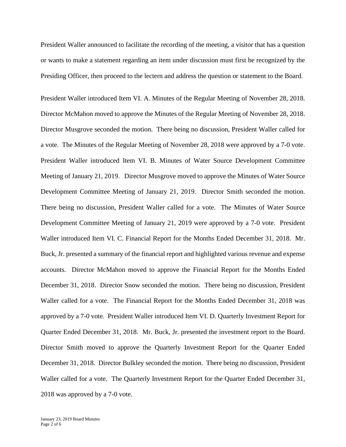President Waller announced to facilitate the recording of the meeting, a visitor that has a question or wants to make a statement regarding an item under discussion must first be recognized by the Presiding Officer, then proceed to the lectern and address the question or statement to the Board.

President Waller introduced Item VI. A. Minutes of the Regular Meeting of November 28, 2018. Director McMahon moved to approve the Minutes of the Regular Meeting of November 28, 2018. Director Musgrove seconded the motion. There being no discussion, President Waller called for a vote. The Minutes of the Regular Meeting of November 28, 2018 were approved by a 7-0 vote. President Waller introduced Item VI. B. Minutes of Water Source Development Committee Meeting of January 21, 2019. Director Musgrove moved to approve the Minutes of Water Source Development Committee Meeting of January 21, 2019. Director Smith seconded the motion. There being no discussion, President Waller called for a vote. The Minutes of Water Source Development Committee Meeting of January 21, 2019 were approved by a 7-0 vote. President Waller introduced Item VI. C. Financial Report for the Months Ended December 31, 2018. Mr. Buck, Jr. presented a summary of the financial report and highlighted various revenue and expense accounts. Director McMahon moved to approve the Financial Report for the Months Ended December 31, 2018. Director Snow seconded the motion. There being no discussion, President Waller called for a vote. The Financial Report for the Months Ended December 31, 2018 was approved by a 7-0 vote. President Waller introduced Item VI. D. Quarterly Investment Report for Quarter Ended December 31, 2018. Mr. Buck, Jr. presented the investment report to the Board. Director Smith moved to approve the Quarterly Investment Report for the Quarter Ended December 31, 2018. Director Bulkley seconded the motion. There being no discussion, President Waller called for a vote. The Quarterly Investment Report for the Quarter Ended December 31, 2018 was approved by a 7-0 vote.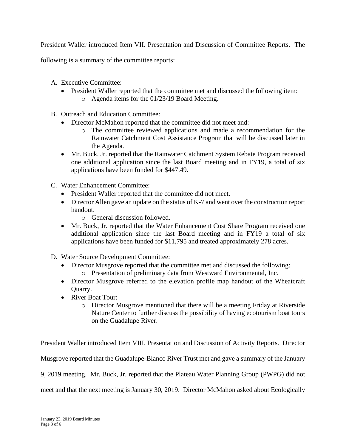President Waller introduced Item VII. Presentation and Discussion of Committee Reports. The

following is a summary of the committee reports:

- A. Executive Committee:
	- President Waller reported that the committee met and discussed the following item: o Agenda items for the 01/23/19 Board Meeting.
- B. Outreach and Education Committee:
	- Director McMahon reported that the committee did not meet and:
		- o The committee reviewed applications and made a recommendation for the Rainwater Catchment Cost Assistance Program that will be discussed later in the Agenda.
	- Mr. Buck, Jr. reported that the Rainwater Catchment System Rebate Program received one additional application since the last Board meeting and in FY19, a total of six applications have been funded for \$447.49.
- C. Water Enhancement Committee:
	- President Waller reported that the committee did not meet.
	- Director Allen gave an update on the status of K-7 and went over the construction report handout.
		- o General discussion followed.
	- Mr. Buck, Jr. reported that the Water Enhancement Cost Share Program received one additional application since the last Board meeting and in FY19 a total of six applications have been funded for \$11,795 and treated approximately 278 acres.
- D. Water Source Development Committee:
	- Director Musgrove reported that the committee met and discussed the following:
		- o Presentation of preliminary data from Westward Environmental, Inc.
	- Director Musgrove referred to the elevation profile map handout of the Wheatcraft Quarry.
	- River Boat Tour:
		- o Director Musgrove mentioned that there will be a meeting Friday at Riverside Nature Center to further discuss the possibility of having ecotourism boat tours on the Guadalupe River.

President Waller introduced Item VIII. Presentation and Discussion of Activity Reports. Director Musgrove reported that the Guadalupe-Blanco River Trust met and gave a summary of the January 9, 2019 meeting. Mr. Buck, Jr. reported that the Plateau Water Planning Group (PWPG) did not meet and that the next meeting is January 30, 2019. Director McMahon asked about Ecologically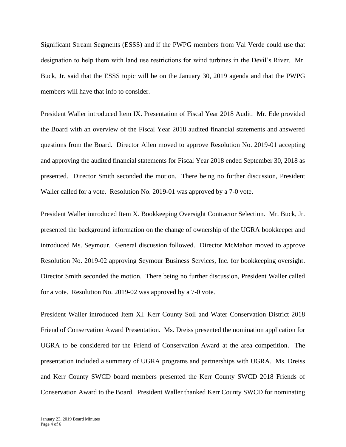Significant Stream Segments (ESSS) and if the PWPG members from Val Verde could use that designation to help them with land use restrictions for wind turbines in the Devil's River. Mr. Buck, Jr. said that the ESSS topic will be on the January 30, 2019 agenda and that the PWPG members will have that info to consider.

President Waller introduced Item IX. Presentation of Fiscal Year 2018 Audit. Mr. Ede provided the Board with an overview of the Fiscal Year 2018 audited financial statements and answered questions from the Board. Director Allen moved to approve Resolution No. 2019-01 accepting and approving the audited financial statements for Fiscal Year 2018 ended September 30, 2018 as presented. Director Smith seconded the motion. There being no further discussion, President Waller called for a vote. Resolution No. 2019-01 was approved by a 7-0 vote.

President Waller introduced Item X. Bookkeeping Oversight Contractor Selection. Mr. Buck, Jr. presented the background information on the change of ownership of the UGRA bookkeeper and introduced Ms. Seymour. General discussion followed. Director McMahon moved to approve Resolution No. 2019-02 approving Seymour Business Services, Inc. for bookkeeping oversight. Director Smith seconded the motion. There being no further discussion, President Waller called for a vote. Resolution No. 2019-02 was approved by a 7-0 vote.

President Waller introduced Item XI. Kerr County Soil and Water Conservation District 2018 Friend of Conservation Award Presentation. Ms. Dreiss presented the nomination application for UGRA to be considered for the Friend of Conservation Award at the area competition. The presentation included a summary of UGRA programs and partnerships with UGRA. Ms. Dreiss and Kerr County SWCD board members presented the Kerr County SWCD 2018 Friends of Conservation Award to the Board. President Waller thanked Kerr County SWCD for nominating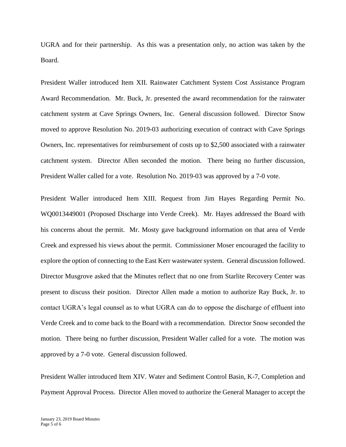UGRA and for their partnership. As this was a presentation only, no action was taken by the Board.

President Waller introduced Item XII. Rainwater Catchment System Cost Assistance Program Award Recommendation. Mr. Buck, Jr. presented the award recommendation for the rainwater catchment system at Cave Springs Owners, Inc. General discussion followed. Director Snow moved to approve Resolution No. 2019-03 authorizing execution of contract with Cave Springs Owners, Inc. representatives for reimbursement of costs up to \$2,500 associated with a rainwater catchment system. Director Allen seconded the motion. There being no further discussion, President Waller called for a vote. Resolution No. 2019-03 was approved by a 7-0 vote.

President Waller introduced Item XIII. Request from Jim Hayes Regarding Permit No. WQ0013449001 (Proposed Discharge into Verde Creek). Mr. Hayes addressed the Board with his concerns about the permit. Mr. Mosty gave background information on that area of Verde Creek and expressed his views about the permit. Commissioner Moser encouraged the facility to explore the option of connecting to the East Kerr wastewater system. General discussion followed. Director Musgrove asked that the Minutes reflect that no one from Starlite Recovery Center was present to discuss their position. Director Allen made a motion to authorize Ray Buck, Jr. to contact UGRA's legal counsel as to what UGRA can do to oppose the discharge of effluent into Verde Creek and to come back to the Board with a recommendation. Director Snow seconded the motion. There being no further discussion, President Waller called for a vote. The motion was approved by a 7-0 vote. General discussion followed.

President Waller introduced Item XIV. Water and Sediment Control Basin, K-7, Completion and Payment Approval Process. Director Allen moved to authorize the General Manager to accept the